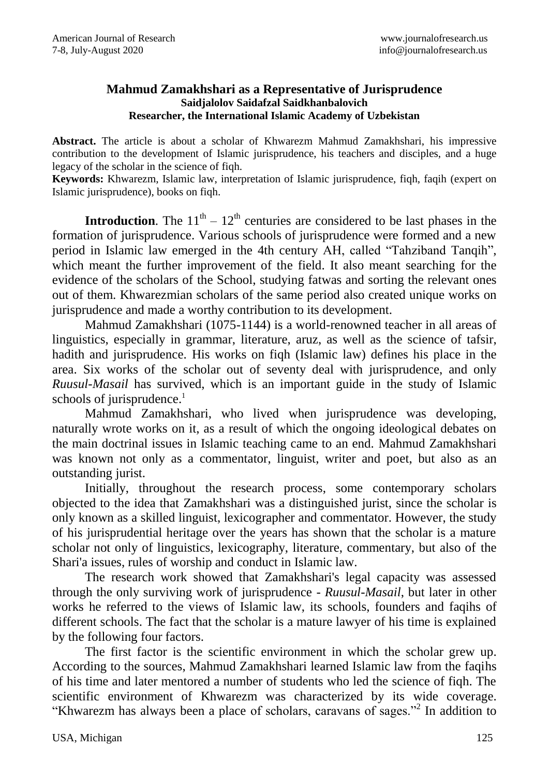## **Mahmud Zamakhshari as a Representative of Jurisprudence Saidjalolov Saidafzal Saidkhanbalovich Researcher, the International Islamic Academy of Uzbekistan**

**Abstract.** The article is about a scholar of Khwarezm Mahmud Zamakhshari, his impressive contribution to the development of Islamic jurisprudence, his teachers and disciples, and a huge legacy of the scholar in the science of fiqh.

**Keywords:** Khwarezm, Islamic law, interpretation of Islamic jurisprudence, fiqh, faqih (expert on Islamic jurisprudence), books on fiqh.

**Introduction**. The  $11<sup>th</sup> - 12<sup>th</sup>$  centuries are considered to be last phases in the formation of jurisprudence. Various schools of jurisprudence were formed and a new period in Islamic law emerged in the 4th century AH, called "Tahziband Tanqih", which meant the further improvement of the field. It also meant searching for the evidence of the scholars of the School, studying fatwas and sorting the relevant ones out of them. Khwarezmian scholars of the same period also created unique works on jurisprudence and made a worthy contribution to its development.

Mahmud Zamakhshari (1075-1144) is a world-renowned teacher in all areas of linguistics, especially in grammar, literature, aruz, as well as the science of tafsir, hadith and jurisprudence. His works on fiqh (Islamic law) defines his place in the area. Six works of the scholar out of seventy deal with jurisprudence, and only *Ruusul-Masail* has survived, which is an important guide in the study of Islamic schools of jurisprudence.<sup>1</sup>

Mahmud Zamakhshari, who lived when jurisprudence was developing, naturally wrote works on it, as a result of which the ongoing ideological debates on the main doctrinal issues in Islamic teaching came to an end. Mahmud Zamakhshari was known not only as a commentator, linguist, writer and poet, but also as an outstanding jurist.

Initially, throughout the research process, some contemporary scholars objected to the idea that Zamakhshari was a distinguished jurist, since the scholar is only known as a skilled linguist, lexicographer and commentator. However, the study of his jurisprudential heritage over the years has shown that the scholar is a mature scholar not only of linguistics, lexicography, literature, commentary, but also of the Shari'a issues, rules of worship and conduct in Islamic law.

The research work showed that Zamakhshari's legal capacity was assessed through the only surviving work of jurisprudence - *Ruusul-Masail*, but later in other works he referred to the views of Islamic law, its schools, founders and faqihs of different schools. The fact that the scholar is a mature lawyer of his time is explained by the following four factors.

The first factor is the scientific environment in which the scholar grew up. According to the sources, Mahmud Zamakhshari learned Islamic law from the faqihs of his time and later mentored a number of students who led the science of fiqh. The scientific environment of Khwarezm was characterized by its wide coverage. "Khwarezm has always been a place of scholars, caravans of sages."<sup>2</sup> In addition to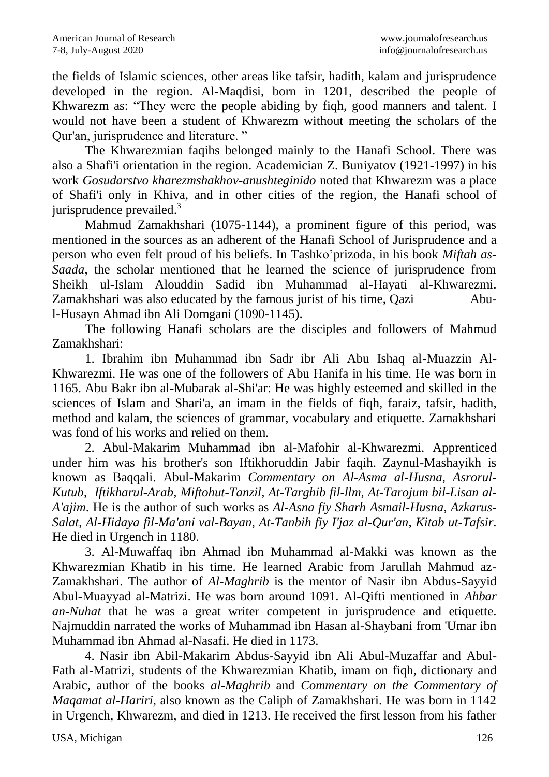the fields of Islamic sciences, other areas like tafsir, hadith, kalam and jurisprudence developed in the region. Al-Maqdisi, born in 1201, described the people of Khwarezm as: "They were the people abiding by figh, good manners and talent. I would not have been a student of Khwarezm without meeting the scholars of the Qur'an, jurisprudence and literature. "

The Khwarezmian faqihs belonged mainly to the Hanafi School. There was also a Shafi'i orientation in the region. Academician Z. Buniyatov (1921-1997) in his work *Gosudarstvo kharezmshakhov-anushteginido* noted that Khwarezm was a place of Shafi'i only in Khiva, and in other cities of the region, the Hanafi school of jurisprudence prevailed.<sup>3</sup>

Mahmud Zamakhshari (1075-1144), a prominent figure of this period, was mentioned in the sources as an adherent of the Hanafi School of Jurisprudence and a person who even felt proud of his beliefs. In Tashko'prizoda, in his book *Miftah as-Saada*, the scholar mentioned that he learned the science of jurisprudence from Sheikh ul-Islam Alouddin Sadid ibn Muhammad al-Hayati al-Khwarezmi. Zamakhshari was also educated by the famous jurist of his time, Qazi Abul-Husayn Ahmad ibn Ali Domgani (1090-1145).

The following Hanafi scholars are the disciples and followers of Mahmud Zamakhshari:

1. Ibrahim ibn Muhammad ibn Sadr ibr Ali Abu Ishaq al-Muazzin Al-Khwarezmi. He was one of the followers of Abu Hanifa in his time. He was born in 1165. Abu Bakr ibn al-Mubarak al-Shi'ar: He was highly esteemed and skilled in the sciences of Islam and Shari'a, an imam in the fields of fiqh, faraiz, tafsir, hadith, method and kalam, the sciences of grammar, vocabulary and etiquette. Zamakhshari was fond of his works and relied on them.

2. Abul-Makarim Muhammad ibn al-Mafohir al-Khwarezmi. Apprenticed under him was his brother's son Iftikhoruddin Jabir faqih. Zaynul-Mashayikh is known as Baqqali. Abul-Makarim *Commentary on Al-Asma al-Husna*, *Asrorul-Kutub*, *Iftikharul-Arab*, *Miftohut-Tanzil*, *At-Targhib fil-llm*, *At-Tarojum bil-Lisan al-A'ajim*. He is the author of such works as *Al-Asna fiy Sharh Asmail-Husna*, *Azkarus-Salat*, *Al-Hidaya fil-Ma'ani val-Bayan*, *At-Tanbih fiy I'jaz al-Qur'an*, *Kitab ut-Tafsir*. He died in Urgench in 1180.

3. Al-Muwaffaq ibn Ahmad ibn Muhammad al-Makki was known as the Khwarezmian Khatib in his time. He learned Arabic from Jarullah Mahmud az-Zamakhshari. The author of *Al-Maghrib* is the mentor of Nasir ibn Abdus-Sayyid Abul-Muayyad al-Matrizi. He was born around 1091. Al-Qifti mentioned in *Ahbar an-Nuhat* that he was a great writer competent in jurisprudence and etiquette. Najmuddin narrated the works of Muhammad ibn Hasan al-Shaybani from 'Umar ibn Muhammad ibn Ahmad al-Nasafi. He died in 1173.

4. Nasir ibn Abil-Makarim Abdus-Sayyid ibn Ali Abul-Muzaffar and Abul-Fath al-Matrizi, students of the Khwarezmian Khatib, imam on fiqh, dictionary and Arabic, author of the books *al-Maghrib* and *Commentary on the Commentary of Maqamat al-Hariri*, also known as the Caliph of Zamakhshari. He was born in 1142 in Urgench, Khwarezm, and died in 1213. He received the first lesson from his father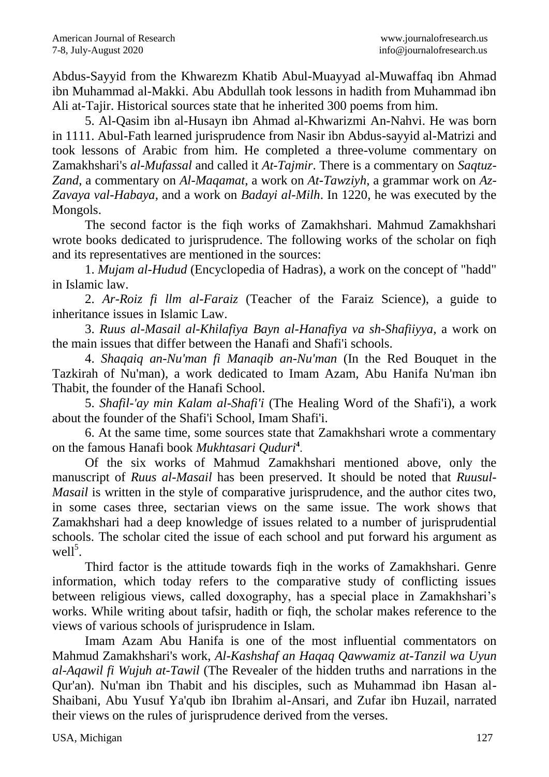Abdus-Sayyid from the Khwarezm Khatib Abul-Muayyad al-Muwaffaq ibn Ahmad ibn Muhammad al-Makki. Abu Abdullah took lessons in hadith from Muhammad ibn Ali at-Tajir. Historical sources state that he inherited 300 poems from him.

5. Al-Qasim ibn al-Husayn ibn Ahmad al-Khwarizmi An-Nahvi. He was born in 1111. Abul-Fath learned jurisprudence from Nasir ibn Abdus-sayyid al-Matrizi and took lessons of Arabic from him. He completed a three-volume commentary on Zamakhshari's *al-Mufassal* and called it *At-Tajmir*. There is a commentary on *Saqtuz-Zand*, a commentary on *Al-Maqamat*, a work on *At-Tawziyh*, a grammar work on *Az-Zavaya val-Habaya*, and a work on *Badayi al-Milh*. In 1220, he was executed by the Mongols.

The second factor is the fiqh works of Zamakhshari. Mahmud Zamakhshari wrote books dedicated to jurisprudence. The following works of the scholar on fiqh and its representatives are mentioned in the sources:

1. *Mujam al-Hudud* (Encyclopedia of Hadras), a work on the concept of "hadd" in Islamic law.

2. *Ar-Roiz fi llm al-Faraiz* (Teacher of the Faraiz Science), a guide to inheritance issues in Islamic Law.

3. *Ruus al-Masail al-Khilafiya Bayn al-Hanafiya va sh-Shafiiyya,* a work on the main issues that differ between the Hanafi and Shafi'i schools.

4. *Shaqaiq an-Nu'man fi Manaqib an-Nu'man* (In the Red Bouquet in the Tazkirah of Nu'man), a work dedicated to Imam Azam, Abu Hanifa Nu'man ibn Thabit, the founder of the Hanafi School.

5. *Shafil-'ay min Kalam al-Shafi'i* (The Healing Word of the Shafi'i), a work about the founder of the Shafi'i School, Imam Shafi'i.

6. At the same time, some sources state that Zamakhshari wrote a commentary on the famous Hanafi book *Mukhtasari Quduri***<sup>4</sup>** .

Of the six works of Mahmud Zamakhshari mentioned above, only the manuscript of *Ruus al-Masail* has been preserved. It should be noted that *Ruusul-Masail* is written in the style of comparative jurisprudence, and the author cites two, in some cases three, sectarian views on the same issue. The work shows that Zamakhshari had a deep knowledge of issues related to a number of jurisprudential schools. The scholar cited the issue of each school and put forward his argument as well<sup>5</sup>.

Third factor is the attitude towards fiqh in the works of Zamakhshari. Genre information, which today refers to the comparative study of conflicting issues between religious views, called doxography, has a special place in Zamakhshari's works. While writing about tafsir, hadith or fiqh, the scholar makes reference to the views of various schools of jurisprudence in Islam.

Imam Azam Abu Hanifa is one of the most influential commentators on Mahmud Zamakhshari's work, *Al-Kashshaf an Haqaq Qawwamiz at-Tanzil wa Uyun al-Aqawil fi Wujuh at-Tawil* (The Revealer of the hidden truths and narrations in the Qur'an). Nu'man ibn Thabit and his disciples, such as Muhammad ibn Hasan al-Shaibani, Abu Yusuf Ya'qub ibn Ibrahim al-Ansari, and Zufar ibn Huzail, narrated their views on the rules of jurisprudence derived from the verses.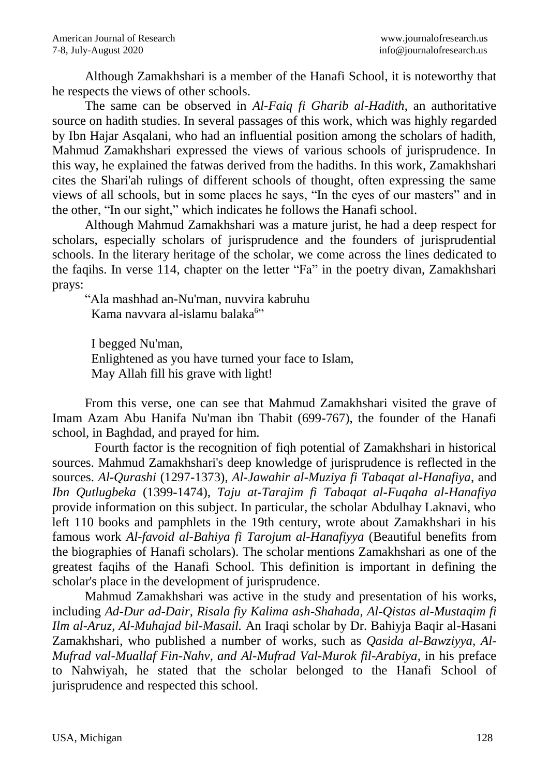Although Zamakhshari is a member of the Hanafi School, it is noteworthy that he respects the views of other schools.

The same can be observed in *Al-Faiq fi Gharib al-Hadith*, an authoritative source on hadith studies. In several passages of this work, which was highly regarded by Ibn Hajar Asqalani, who had an influential position among the scholars of hadith, Mahmud Zamakhshari expressed the views of various schools of jurisprudence. In this way, he explained the fatwas derived from the hadiths. In this work, Zamakhshari cites the Shari'ah rulings of different schools of thought, often expressing the same views of all schools, but in some places he says, "In the eyes of our masters" and in the other, "In our sight," which indicates he follows the Hanafi school.

Although Mahmud Zamakhshari was a mature jurist, he had a deep respect for scholars, especially scholars of jurisprudence and the founders of jurisprudential schools. In the literary heritage of the scholar, we come across the lines dedicated to the faqihs. In verse 114, chapter on the letter "Fa" in the poetry divan, Zamakhshari prays:

"Ala mashhad an-Nu'man, nuvvira kabruhu Kama navvara al-islamu balaka<sup>6</sup>"

 I begged Nu'man, Enlightened as you have turned your face to Islam, May Allah fill his grave with light!

From this verse, one can see that Mahmud Zamakhshari visited the grave of Imam Azam Abu Hanifa Nu'man ibn Thabit (699-767), the founder of the Hanafi school, in Baghdad, and prayed for him.

 Fourth factor is the recognition of fiqh potential of Zamakhshari in historical sources. Mahmud Zamakhshari's deep knowledge of jurisprudence is reflected in the sources. *Al-Qurashi* (1297-1373), *Al-Jawahir al-Muziya fi Tabaqat al-Hanafiya*, and *Ibn Qutlugbeka* (1399-1474), *Taju at-Tarajim fi Tabaqat al-Fuqaha al-Hanafiya* provide information on this subject. In particular, the scholar Abdulhay Laknavi, who left 110 books and pamphlets in the 19th century, wrote about Zamakhshari in his famous work *Al-favoid al-Bahiya fi Tarojum al-Hanafiyya* (Beautiful benefits from the biographies of Hanafi scholars). The scholar mentions Zamakhshari as one of the greatest faqihs of the Hanafi School. This definition is important in defining the scholar's place in the development of jurisprudence.

Mahmud Zamakhshari was active in the study and presentation of his works, including *Ad-Dur ad-Dair, Risala fiy Kalima ash-Shahada, Al-Qistas al-Mustaqim fi Ilm al-Aruz, Al-Muhajad bil-Masail.* An Iraqi scholar by Dr. Bahiyja Baqir al-Hasani Zamakhshari, who published a number of works, such as *Qasida al-Bawziyya, Al-Mufrad val-Muallaf Fin-Nahv, and Al-Mufrad Val-Murok fil-Arabiya,* in his preface to Nahwiyah, he stated that the scholar belonged to the Hanafi School of jurisprudence and respected this school.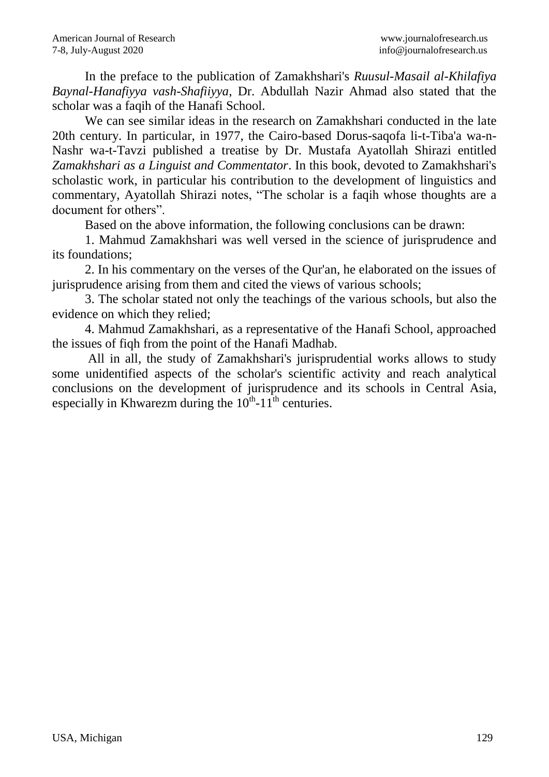In the preface to the publication of Zamakhshari's *Ruusul-Masail al-Khilafiya Baynal-Hanafiyya vash-Shafiiyya*, Dr. Abdullah Nazir Ahmad also stated that the scholar was a faqih of the Hanafi School.

We can see similar ideas in the research on Zamakhshari conducted in the late 20th century. In particular, in 1977, the Cairo-based Dorus-saqofa li-t-Tiba'a wa-n-Nashr wa-t-Tavzi published a treatise by Dr. Mustafa Ayatollah Shirazi entitled *Zamakhshari as a Linguist and Commentator*. In this book, devoted to Zamakhshari's scholastic work, in particular his contribution to the development of linguistics and commentary, Ayatollah Shirazi notes, "The scholar is a faqih whose thoughts are a document for others".

Based on the above information, the following conclusions can be drawn:

1. Mahmud Zamakhshari was well versed in the science of jurisprudence and its foundations;

2. In his commentary on the verses of the Qur'an, he elaborated on the issues of jurisprudence arising from them and cited the views of various schools;

3. The scholar stated not only the teachings of the various schools, but also the evidence on which they relied;

4. Mahmud Zamakhshari, as a representative of the Hanafi School, approached the issues of fiqh from the point of the Hanafi Madhab.

All in all, the study of Zamakhshari's jurisprudential works allows to study some unidentified aspects of the scholar's scientific activity and reach analytical conclusions on the development of jurisprudence and its schools in Central Asia, especially in Khwarezm during the  $10^{th}$ -11<sup>th</sup> centuries.